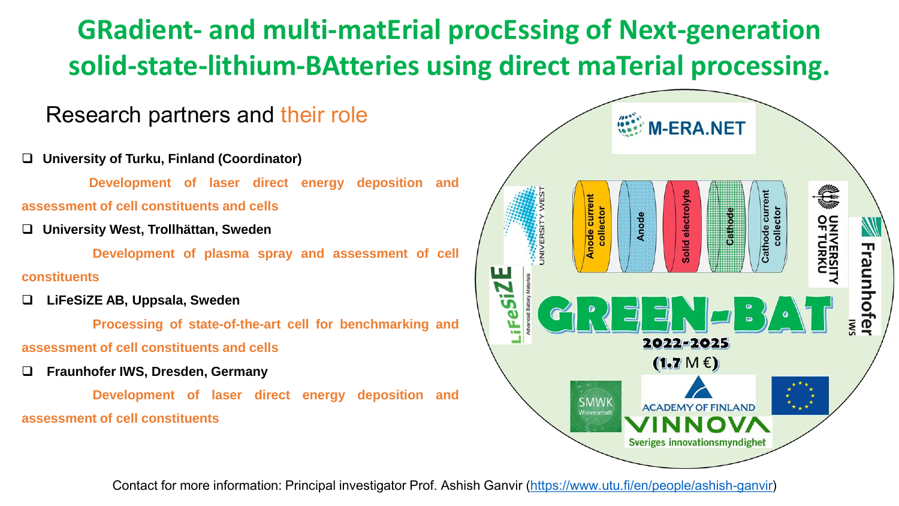## **GRadient- and multi-matErial procEssing of Next-generation solid-state-lithium-BAtteries using direct maTerial processing.**

#### Research partners and their role

- ❑ **University of Turku, Finland (Coordinator)**
	- **Development of laser direct energy deposition and**
- **assessment of cell constituents and cells**
- ❑ **University West, Trollhättan, Sweden**
	- **Development of plasma spray and assessment of cell**
- **constituents**
- ❑ **LiFeSiZE AB, Uppsala, Sweden**
- **Processing of state-of-the-art cell for benchmarking and assessment of cell constituents and cells**
- ❑ **Fraunhofer IWS, Dresden, Germany**

**Development of laser direct energy deposition and assessment of cell constituents**



Contact for more information: Principal investigator Prof. Ashish Ganvir [\(https://www.utu.fi/en/people/ashish-ganvir](https://www.utu.fi/en/people/ashish-ganvir))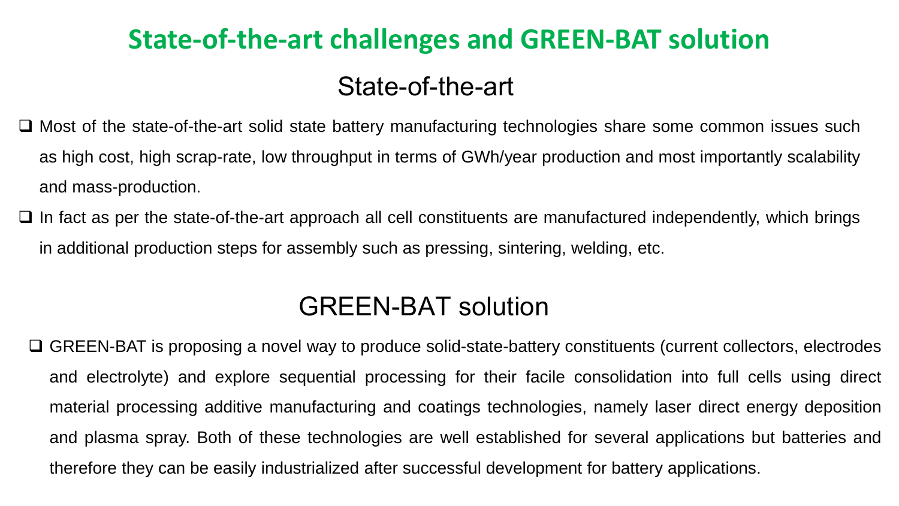# **State-of-the-art challenges and GREEN-BAT solution**

#### State-of-the-art

- ❑ Most of the state-of-the-art solid state battery manufacturing technologies share some common issues such as high cost, high scrap-rate, low throughput in terms of GWh/year production and most importantly scalability and mass-production.
- ❑ In fact as per the state-of-the-art approach all cell constituents are manufactured independently, which brings in additional production steps for assembly such as pressing, sintering, welding, etc.

### GREEN-BAT solution

❑ GREEN-BAT is proposing a novel way to produce solid-state-battery constituents (current collectors, electrodes and electrolyte) and explore sequential processing for their facile consolidation into full cells using direct material processing additive manufacturing and coatings technologies, namely laser direct energy deposition and plasma spray. Both of these technologies are well established for several applications but batteries and therefore they can be easily industrialized after successful development for battery applications.